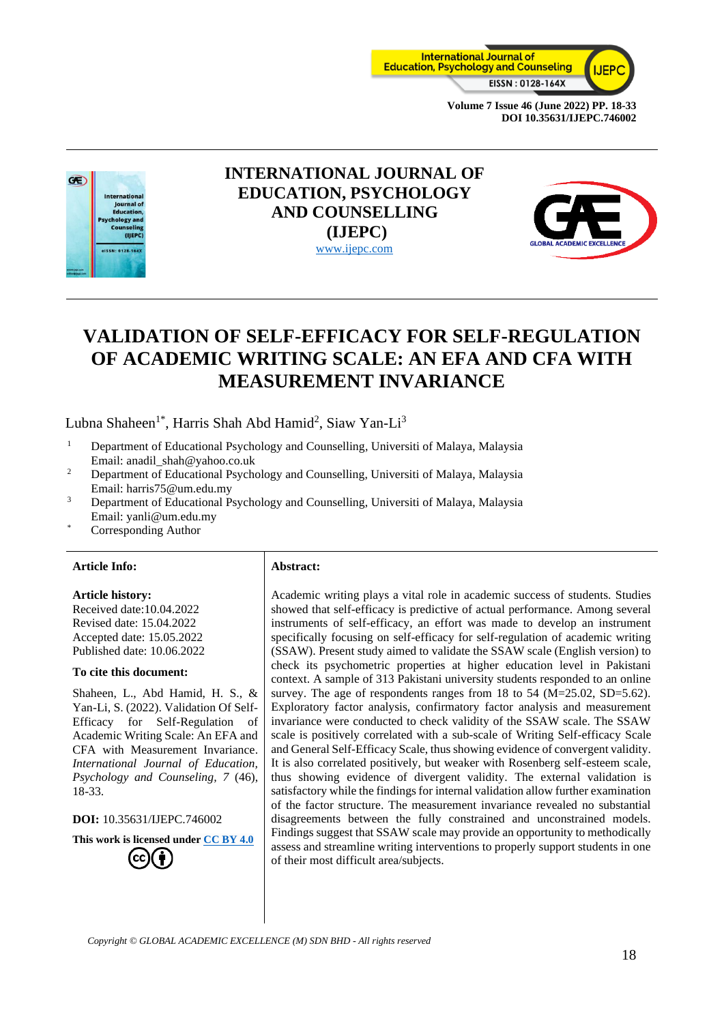



# **INTERNATIONAL JOURNAL OF EDUCATION, PSYCHOLOGY AND COUNSELLING (IJEPC)** [www.ijepc.com](http://www.ijepc.com/)



# **VALIDATION OF SELF-EFFICACY FOR SELF-REGULATION OF ACADEMIC WRITING SCALE: AN EFA AND CFA WITH MEASUREMENT INVARIANCE**

Lubna Shaheen<sup>1\*</sup>, Harris Shah Abd Hamid<sup>2</sup>, Siaw Yan-Li<sup>3</sup>

- <sup>1</sup> Department of Educational Psychology and Counselling, Universiti of Malaya, Malaysia Email: [anadil\\_shah@yahoo.co.uk](mailto:anadil_shah@yahoo.co.uk)
- <sup>2</sup> Department of Educational Psychology and Counselling, Universiti of Malaya, Malaysia Email: harris75@um.edu.my
- <sup>3</sup> Department of Educational Psychology and Counselling, Universiti of Malaya, Malaysia Email: yanli@um.edu.my
- Corresponding Author

#### **Article Info: Abstract:**

#### **Article history:**

Received date:10.04.2022 Revised date: 15.04.2022 Accepted date: 15.05.2022 Published date: 10.06.2022

#### **To cite this document:**

Shaheen, L., Abd Hamid, H. S., & Yan-Li, S. (2022). Validation Of Self-Efficacy for Self-Regulation of Academic Writing Scale: An EFA and CFA with Measurement Invariance. *International Journal of Education, Psychology and Counseling, 7* (46), 18-33.

**DOI:** 10.35631/IJEPC.746002

**This work is licensed under [CC BY 4.0](https://creativecommons.org/licenses/by/4.0/?ref=chooser-v1)** (cc

Academic writing plays a vital role in academic success of students. Studies showed that self-efficacy is predictive of actual performance. Among several instruments of self-efficacy, an effort was made to develop an instrument specifically focusing on self-efficacy for self-regulation of academic writing (SSAW). Present study aimed to validate the SSAW scale (English version) to check its psychometric properties at higher education level in Pakistani context. A sample of 313 Pakistani university students responded to an online survey. The age of respondents ranges from 18 to 54 (M=25.02, SD=5.62). Exploratory factor analysis, confirmatory factor analysis and measurement invariance were conducted to check validity of the SSAW scale. The SSAW scale is positively correlated with a sub-scale of Writing Self-efficacy Scale and General Self-Efficacy Scale, thus showing evidence of convergent validity. It is also correlated positively, but weaker with Rosenberg self-esteem scale, thus showing evidence of divergent validity. The external validation is satisfactory while the findings for internal validation allow further examination of the factor structure. The measurement invariance revealed no substantial disagreements between the fully constrained and unconstrained models. Findings suggest that SSAW scale may provide an opportunity to methodically assess and streamline writing interventions to properly support students in one of their most difficult area/subjects.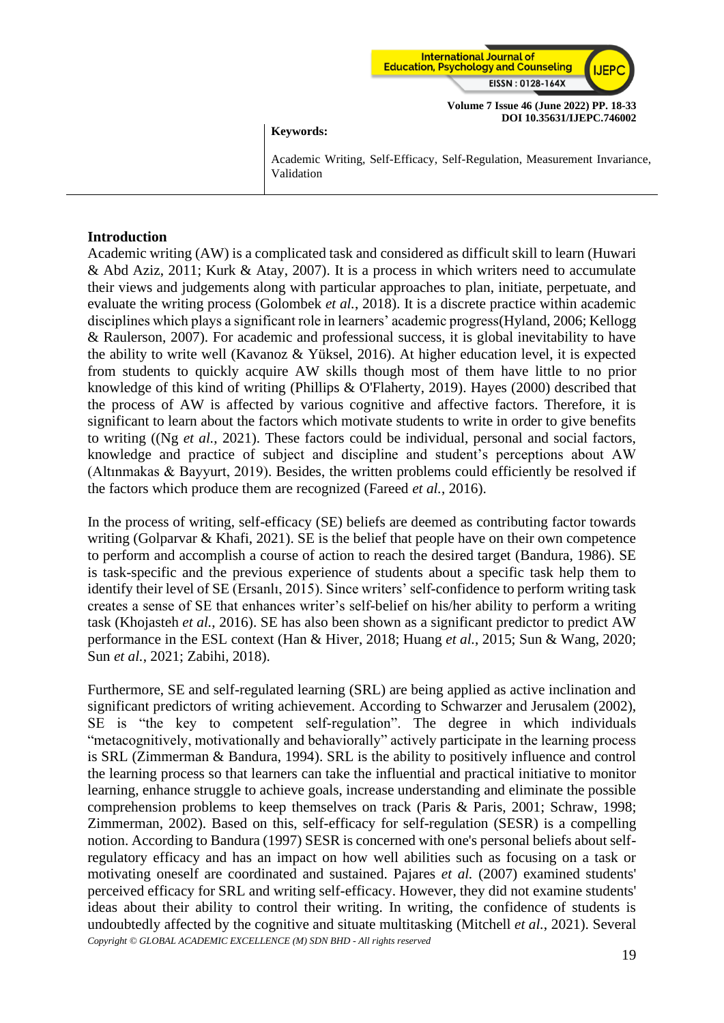

#### **Keywords:**

Academic Writing, Self-Efficacy, Self-Regulation, Measurement Invariance, Validation

#### **Introduction**

Academic writing (AW) is a complicated task and considered as difficult skill to learn (Huwari & Abd Aziz, 2011; Kurk & Atay, 2007). It is a process in which writers need to accumulate their views and judgements along with particular approaches to plan, initiate, perpetuate, and evaluate the writing process (Golombek *et al.*, 2018). It is a discrete practice within academic disciplines which plays a significant role in learners' academic progress(Hyland, 2006; Kellogg & Raulerson, 2007). For academic and professional success, it is global inevitability to have the ability to write well (Kavanoz & Yüksel, 2016). At higher education level, it is expected from students to quickly acquire AW skills though most of them have little to no prior knowledge of this kind of writing (Phillips & O'Flaherty, 2019). Hayes (2000) described that the process of AW is affected by various cognitive and affective factors. Therefore, it is significant to learn about the factors which motivate students to write in order to give benefits to writing ((Ng *et al.*, 2021). These factors could be individual, personal and social factors, knowledge and practice of subject and discipline and student's perceptions about AW (Altınmakas & Bayyurt, 2019). Besides, the written problems could efficiently be resolved if the factors which produce them are recognized (Fareed *et al.*, 2016).

In the process of writing, self-efficacy (SE) beliefs are deemed as contributing factor towards writing (Golparvar & Khafi, 2021). SE is the belief that people have on their own competence to perform and accomplish a course of action to reach the desired target (Bandura, 1986). SE is task-specific and the previous experience of students about a specific task help them to identify their level of SE (Ersanlı, 2015). Since writers' self-confidence to perform writing task creates a sense of SE that enhances writer's self-belief on his/her ability to perform a writing task (Khojasteh *et al.*, 2016). SE has also been shown as a significant predictor to predict AW performance in the ESL context (Han & Hiver, 2018; Huang *et al.*, 2015; Sun & Wang, 2020; Sun *et al.*, 2021; Zabihi, 2018).

*Copyright © GLOBAL ACADEMIC EXCELLENCE (M) SDN BHD - All rights reserved* Furthermore, SE and self-regulated learning (SRL) are being applied as active inclination and significant predictors of writing achievement. According to Schwarzer and Jerusalem (2002), SE is "the key to competent self-regulation". The degree in which individuals "metacognitively, motivationally and behaviorally" actively participate in the learning process is SRL (Zimmerman & Bandura, 1994). SRL is the ability to positively influence and control the learning process so that learners can take the influential and practical initiative to monitor learning, enhance struggle to achieve goals, increase understanding and eliminate the possible comprehension problems to keep themselves on track (Paris & Paris, 2001; Schraw, 1998; Zimmerman, 2002). Based on this, self-efficacy for self-regulation (SESR) is a compelling notion. According to Bandura (1997) SESR is concerned with one's personal beliefs about selfregulatory efficacy and has an impact on how well abilities such as focusing on a task or motivating oneself are coordinated and sustained. Pajares *et al.* (2007) examined students' perceived efficacy for SRL and writing self-efficacy. However, they did not examine students' ideas about their ability to control their writing. In writing, the confidence of students is undoubtedly affected by the cognitive and situate multitasking (Mitchell *et al.*, 2021). Several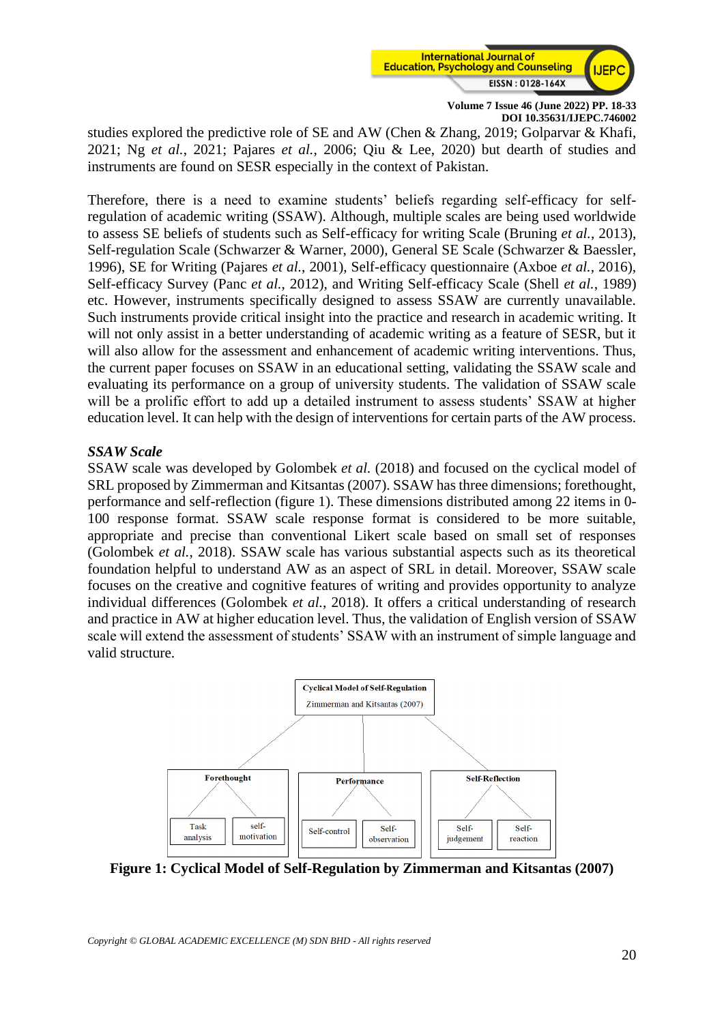

studies explored the predictive role of SE and AW (Chen & Zhang, 2019; Golparvar & Khafi, 2021; Ng *et al.*, 2021; Pajares *et al.*, 2006; Qiu & Lee, 2020) but dearth of studies and instruments are found on SESR especially in the context of Pakistan.

Therefore, there is a need to examine students' beliefs regarding self-efficacy for selfregulation of academic writing (SSAW). Although, multiple scales are being used worldwide to assess SE beliefs of students such as Self-efficacy for writing Scale (Bruning *et al.*, 2013), Self-regulation Scale (Schwarzer & Warner, 2000), General SE Scale (Schwarzer & Baessler, 1996), SE for Writing (Pajares *et al.*, 2001), Self-efficacy questionnaire (Axboe *et al.*, 2016), Self-efficacy Survey (Panc *et al.*, 2012), and Writing Self-efficacy Scale (Shell *et al.*, 1989) etc. However, instruments specifically designed to assess SSAW are currently unavailable. Such instruments provide critical insight into the practice and research in academic writing. It will not only assist in a better understanding of academic writing as a feature of SESR, but it will also allow for the assessment and enhancement of academic writing interventions. Thus, the current paper focuses on SSAW in an educational setting, validating the SSAW scale and evaluating its performance on a group of university students. The validation of SSAW scale will be a prolific effort to add up a detailed instrument to assess students' SSAW at higher education level. It can help with the design of interventions for certain parts of the AW process.

#### *SSAW Scale*

SSAW scale was developed by Golombek *et al.* (2018) and focused on the cyclical model of SRL proposed by Zimmerman and Kitsantas (2007). SSAW has three dimensions; forethought, performance and self-reflection (figure 1). These dimensions distributed among 22 items in 0- 100 response format. SSAW scale response format is considered to be more suitable, appropriate and precise than conventional Likert scale based on small set of responses (Golombek *et al.*, 2018). SSAW scale has various substantial aspects such as its theoretical foundation helpful to understand AW as an aspect of SRL in detail. Moreover, SSAW scale focuses on the creative and cognitive features of writing and provides opportunity to analyze individual differences (Golombek *et al.*, 2018). It offers a critical understanding of research and practice in AW at higher education level. Thus, the validation of English version of SSAW scale will extend the assessment of students' SSAW with an instrument of simple language and valid structure.



**Figure 1: Cyclical Model of Self-Regulation by Zimmerman and Kitsantas (2007)**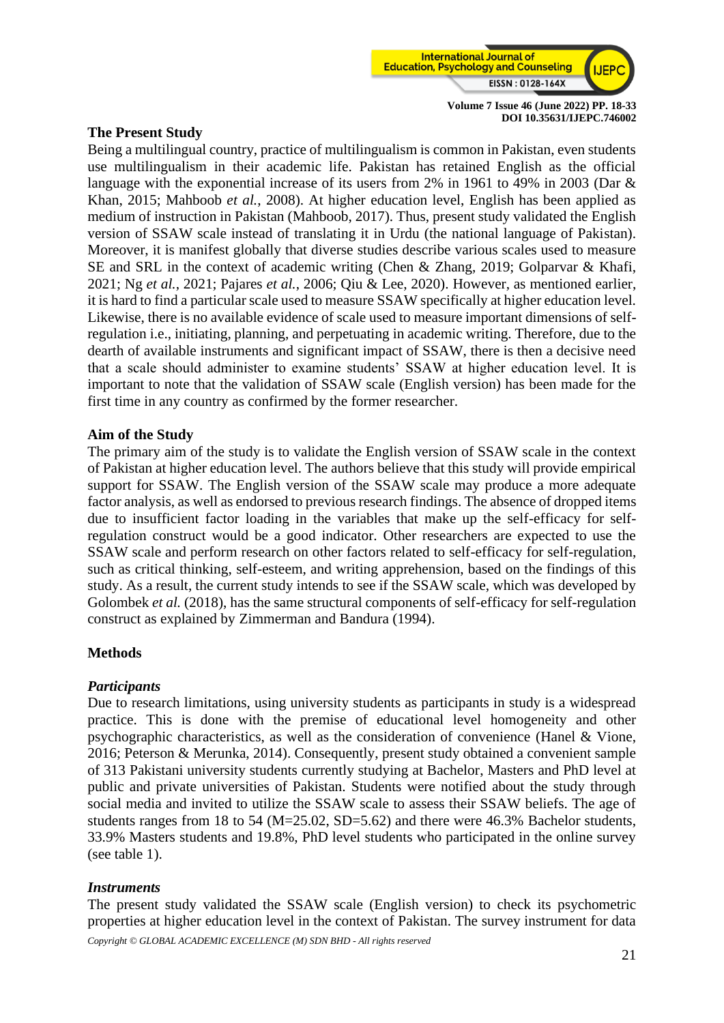

## **The Present Study**

Being a multilingual country, practice of multilingualism is common in Pakistan, even students use multilingualism in their academic life. Pakistan has retained English as the official language with the exponential increase of its users from 2% in 1961 to 49% in 2003 (Dar & Khan, 2015; Mahboob *et al.*, 2008). At higher education level, English has been applied as medium of instruction in Pakistan (Mahboob, 2017). Thus, present study validated the English version of SSAW scale instead of translating it in Urdu (the national language of Pakistan). Moreover, it is manifest globally that diverse studies describe various scales used to measure SE and SRL in the context of academic writing (Chen & Zhang, 2019; Golparvar & Khafi, 2021; Ng *et al.*, 2021; Pajares *et al.*, 2006; Qiu & Lee, 2020). However, as mentioned earlier, it is hard to find a particular scale used to measure SSAW specifically at higher education level. Likewise, there is no available evidence of scale used to measure important dimensions of selfregulation i.e., initiating, planning, and perpetuating in academic writing. Therefore, due to the dearth of available instruments and significant impact of SSAW, there is then a decisive need that a scale should administer to examine students' SSAW at higher education level. It is important to note that the validation of SSAW scale (English version) has been made for the first time in any country as confirmed by the former researcher.

# **Aim of the Study**

The primary aim of the study is to validate the English version of SSAW scale in the context of Pakistan at higher education level. The authors believe that this study will provide empirical support for SSAW. The English version of the SSAW scale may produce a more adequate factor analysis, as well as endorsed to previous research findings. The absence of dropped items due to insufficient factor loading in the variables that make up the self-efficacy for selfregulation construct would be a good indicator. Other researchers are expected to use the SSAW scale and perform research on other factors related to self-efficacy for self-regulation, such as critical thinking, self-esteem, and writing apprehension, based on the findings of this study. As a result, the current study intends to see if the SSAW scale, which was developed by Golombek *et al.* (2018), has the same structural components of self-efficacy for self-regulation construct as explained by Zimmerman and Bandura (1994).

#### **Methods**

#### *Participants*

Due to research limitations, using university students as participants in study is a widespread practice. This is done with the premise of educational level homogeneity and other psychographic characteristics, as well as the consideration of convenience (Hanel & Vione, 2016; Peterson & Merunka, 2014). Consequently, present study obtained a convenient sample of 313 Pakistani university students currently studying at Bachelor, Masters and PhD level at public and private universities of Pakistan. Students were notified about the study through social media and invited to utilize the SSAW scale to assess their SSAW beliefs. The age of students ranges from 18 to 54 ( $M=25.02$ ,  $SD=5.62$ ) and there were 46.3% Bachelor students, 33.9% Masters students and 19.8%, PhD level students who participated in the online survey (see table 1).

#### *Instruments*

The present study validated the SSAW scale (English version) to check its psychometric properties at higher education level in the context of Pakistan. The survey instrument for data

*Copyright © GLOBAL ACADEMIC EXCELLENCE (M) SDN BHD - All rights reserved*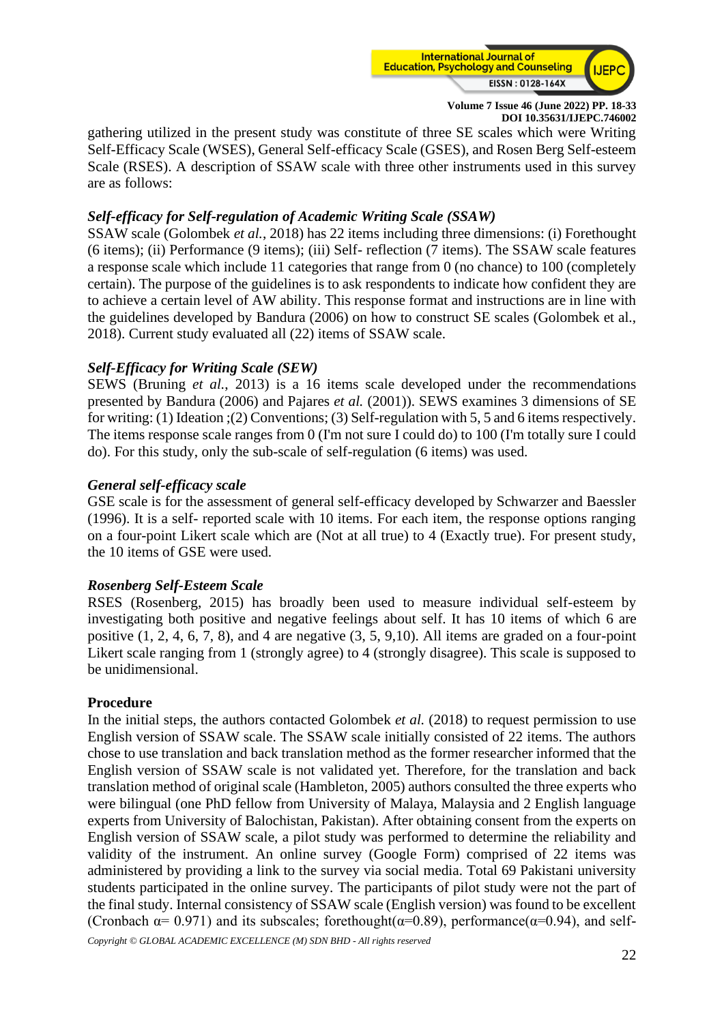

gathering utilized in the present study was constitute of three SE scales which were Writing Self-Efficacy Scale (WSES), General Self-efficacy Scale (GSES), and Rosen Berg Self-esteem Scale (RSES). A description of SSAW scale with three other instruments used in this survey are as follows:

## *Self-efficacy for Self-regulation of Academic Writing Scale (SSAW)*

SSAW scale (Golombek *et al.*, 2018) has 22 items including three dimensions: (i) Forethought (6 items); (ii) Performance (9 items); (iii) Self- reflection (7 items). The SSAW scale features a response scale which include 11 categories that range from 0 (no chance) to 100 (completely certain). The purpose of the guidelines is to ask respondents to indicate how confident they are to achieve a certain level of AW ability. This response format and instructions are in line with the guidelines developed by Bandura (2006) on how to construct SE scales (Golombek et al., 2018). Current study evaluated all (22) items of SSAW scale.

# *Self-Efficacy for Writing Scale (SEW)*

SEWS (Bruning *et al.*, 2013) is a 16 items scale developed under the recommendations presented by Bandura (2006) and Pajares *et al.* (2001)). SEWS examines 3 dimensions of SE for writing: (1) Ideation ;(2) Conventions; (3) Self-regulation with 5, 5 and 6 items respectively. The items response scale ranges from 0 (I'm not sure I could do) to 100 (I'm totally sure I could do). For this study, only the sub-scale of self-regulation (6 items) was used.

# *General self-efficacy scale*

GSE scale is for the assessment of general self-efficacy developed by Schwarzer and Baessler (1996). It is a self- reported scale with 10 items. For each item, the response options ranging on a four-point Likert scale which are (Not at all true) to 4 (Exactly true). For present study, the 10 items of GSE were used.

#### *Rosenberg Self-Esteem Scale*

RSES (Rosenberg, 2015) has broadly been used to measure individual self-esteem by investigating both positive and negative feelings about self. It has 10 items of which 6 are positive (1, 2, 4, 6, 7, 8), and 4 are negative (3, 5, 9,10). All items are graded on a four-point Likert scale ranging from 1 (strongly agree) to 4 (strongly disagree). This scale is supposed to be unidimensional.

#### **Procedure**

In the initial steps, the authors contacted Golombek *et al.* (2018) to request permission to use English version of SSAW scale. The SSAW scale initially consisted of 22 items. The authors chose to use translation and back translation method as the former researcher informed that the English version of SSAW scale is not validated yet. Therefore, for the translation and back translation method of original scale (Hambleton, 2005) authors consulted the three experts who were bilingual (one PhD fellow from University of Malaya, Malaysia and 2 English language experts from University of Balochistan, Pakistan). After obtaining consent from the experts on English version of SSAW scale, a pilot study was performed to determine the reliability and validity of the instrument. An online survey (Google Form) comprised of 22 items was administered by providing a link to the survey via social media. Total 69 Pakistani university students participated in the online survey. The participants of pilot study were not the part of the final study. Internal consistency of SSAW scale (English version) was found to be excellent (Cronbach  $\alpha$ = 0.971) and its subscales; forethought( $\alpha$ =0.89), performance( $\alpha$ =0.94), and self-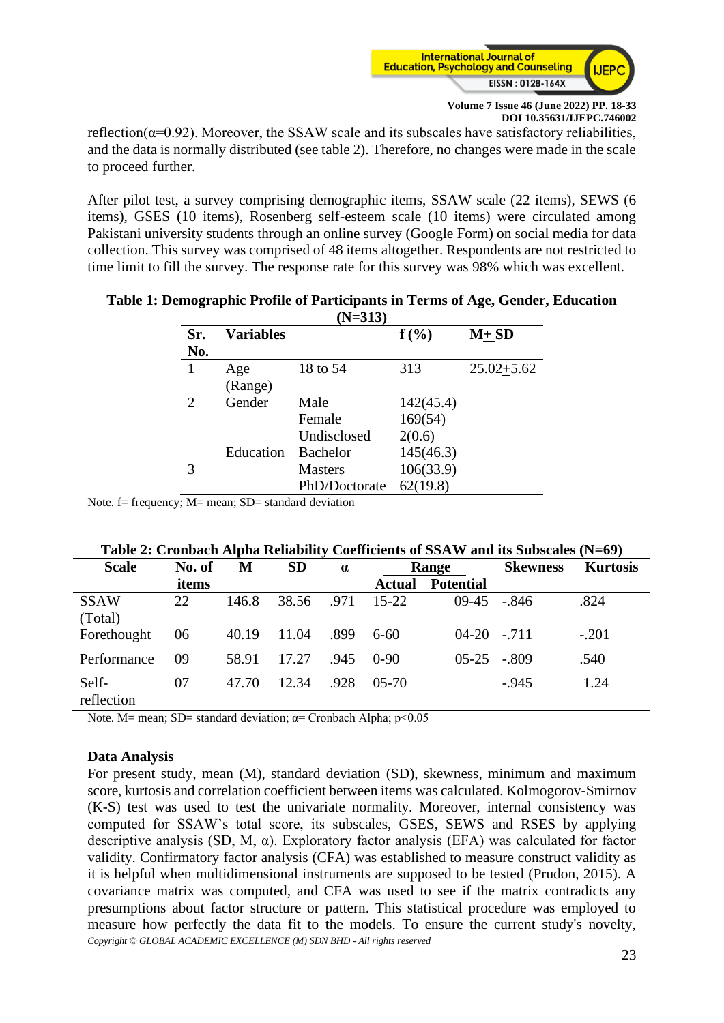

reflection( $\alpha$ =0.92). Moreover, the SSAW scale and its subscales have satisfactory reliabilities, and the data is normally distributed (see table 2). Therefore, no changes were made in the scale to proceed further.

After pilot test, a survey comprising demographic items, SSAW scale (22 items), SEWS (6 items), GSES (10 items), Rosenberg self-esteem scale (10 items) were circulated among Pakistani university students through an online survey (Google Form) on social media for data collection. This survey was comprised of 48 items altogether. Respondents are not restricted to time limit to fill the survey. The response rate for this survey was 98% which was excellent.

| Sr.<br>No. | <b>Variables</b> |                 | $f(\%)$   | $M+SD$         |
|------------|------------------|-----------------|-----------|----------------|
| 1          | Age              | 18 to 54        | 313       | $25.02 + 5.62$ |
|            | (Range)          |                 |           |                |
| 2          | Gender           | Male            | 142(45.4) |                |
|            |                  | Female          | 169(54)   |                |
|            |                  | Undisclosed     | 2(0.6)    |                |
|            | Education        | <b>Bachelor</b> | 145(46.3) |                |
| 3          |                  | <b>Masters</b>  | 106(33.9) |                |
|            |                  | PhD/Doctorate   | 62(19.8)  |                |

#### **Table 1: Demographic Profile of Participants in Terms of Age, Gender, Education (N=313)**

Note.  $f = frequency$ ;  $M = mean$ ;  $SD = standard deviation$ 

## **Table 2: Cronbach Alpha Reliability Coefficients of SSAW and its Subscales (N=69)**

| <b>Scale</b>           | No. of | М     | <b>SD</b> | $\alpha$ |               | Range            | <b>Skewness</b> | <b>Kurtosis</b> |  |
|------------------------|--------|-------|-----------|----------|---------------|------------------|-----------------|-----------------|--|
|                        | items  |       |           |          | <b>Actual</b> | <b>Potential</b> |                 |                 |  |
| <b>SSAW</b><br>(Total) | 22     | 146.8 | 38.56     | .971     | 15-22         | $09-45$          | - 846           | .824            |  |
| Forethought            | 06     | 40.19 | 11.04     | .899     | $6-60$        | $04-20$ $-.711$  |                 | $-.201$         |  |
| Performance            | 09     | 58.91 | 17.27     | .945     | $0-90$        | $0.5 - 2.5$      | $-.809$         | .540            |  |
| Self-<br>reflection    | 07     | 47.70 | 12.34     | .928     | $05-70$       |                  | $-945$          | 1.24            |  |

Note. M= mean; SD= standard deviation;  $\alpha$ = Cronbach Alpha; p<0.05

#### **Data Analysis**

*Copyright © GLOBAL ACADEMIC EXCELLENCE (M) SDN BHD - All rights reserved* For present study, mean (M), standard deviation (SD), skewness, minimum and maximum score, kurtosis and correlation coefficient between items was calculated. Kolmogorov-Smirnov (K-S) test was used to test the univariate normality. Moreover, internal consistency was computed for SSAW's total score, its subscales, GSES, SEWS and RSES by applying descriptive analysis (SD, M, α). Exploratory factor analysis (EFA) was calculated for factor validity. Confirmatory factor analysis (CFA) was established to measure construct validity as it is helpful when multidimensional instruments are supposed to be tested (Prudon, 2015). A covariance matrix was computed, and CFA was used to see if the matrix contradicts any presumptions about factor structure or pattern. This statistical procedure was employed to measure how perfectly the data fit to the models. To ensure the current study's novelty,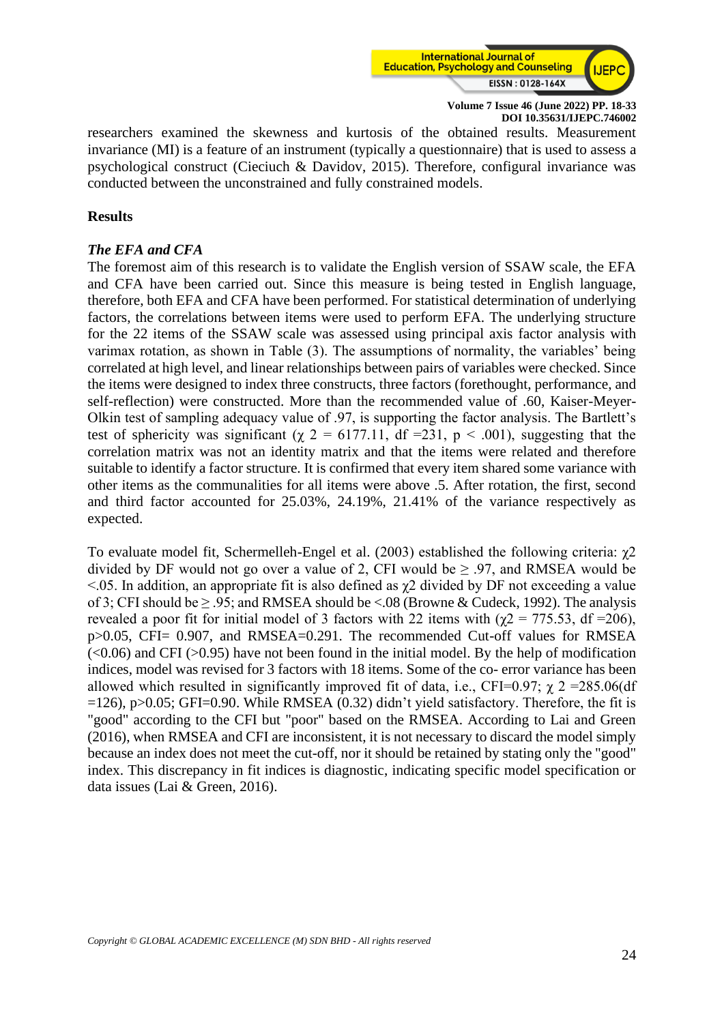

researchers examined the skewness and kurtosis of the obtained results. Measurement invariance (MI) is a feature of an instrument (typically a questionnaire) that is used to assess a psychological construct (Cieciuch & Davidov, 2015). Therefore, configural invariance was conducted between the unconstrained and fully constrained models.

#### **Results**

#### *The EFA and CFA*

The foremost aim of this research is to validate the English version of SSAW scale, the EFA and CFA have been carried out. Since this measure is being tested in English language, therefore, both EFA and CFA have been performed. For statistical determination of underlying factors, the correlations between items were used to perform EFA. The underlying structure for the 22 items of the SSAW scale was assessed using principal axis factor analysis with varimax rotation, as shown in Table (3). The assumptions of normality, the variables' being correlated at high level, and linear relationships between pairs of variables were checked. Since the items were designed to index three constructs, three factors (forethought, performance, and self-reflection) were constructed. More than the recommended value of .60, Kaiser-Meyer-Olkin test of sampling adequacy value of .97, is supporting the factor analysis. The Bartlett's test of sphericity was significant ( $\gamma$  2 = 6177.11, df =231, p < .001), suggesting that the correlation matrix was not an identity matrix and that the items were related and therefore suitable to identify a factor structure. It is confirmed that every item shared some variance with other items as the communalities for all items were above .5. After rotation, the first, second and third factor accounted for 25.03%, 24.19%, 21.41% of the variance respectively as expected.

To evaluate model fit, Schermelleh-Engel et al. (2003) established the following criteria: χ2 divided by DF would not go over a value of 2, CFI would be  $> 0.97$ , and RMSEA would be  $\leq$ .05. In addition, an appropriate fit is also defined as  $\chi$ 2 divided by DF not exceeding a value of 3; CFI should be  $\geq$  .95; and RMSEA should be <.08 (Browne & Cudeck, 1992). The analysis revealed a poor fit for initial model of 3 factors with 22 items with ( $\gamma$ 2 = 775.53, df =206), p>0.05, CFI= 0.907, and RMSEA=0.291. The recommended Cut-off values for RMSEA  $\langle$  <0.06) and CFI (>0.95) have not been found in the initial model. By the help of modification indices, model was revised for 3 factors with 18 items. Some of the co- error variance has been allowed which resulted in significantly improved fit of data, i.e., CFI=0.97;  $\gamma$  2 = 285.06(df  $=126$ , p $>0.05$ ; GFI $=0.90$ . While RMSEA (0.32) didn't yield satisfactory. Therefore, the fit is "good" according to the CFI but "poor" based on the RMSEA. According to Lai and Green (2016), when RMSEA and CFI are inconsistent, it is not necessary to discard the model simply because an index does not meet the cut-off, nor it should be retained by stating only the "good" index. This discrepancy in fit indices is diagnostic, indicating specific model specification or data issues (Lai & Green, 2016).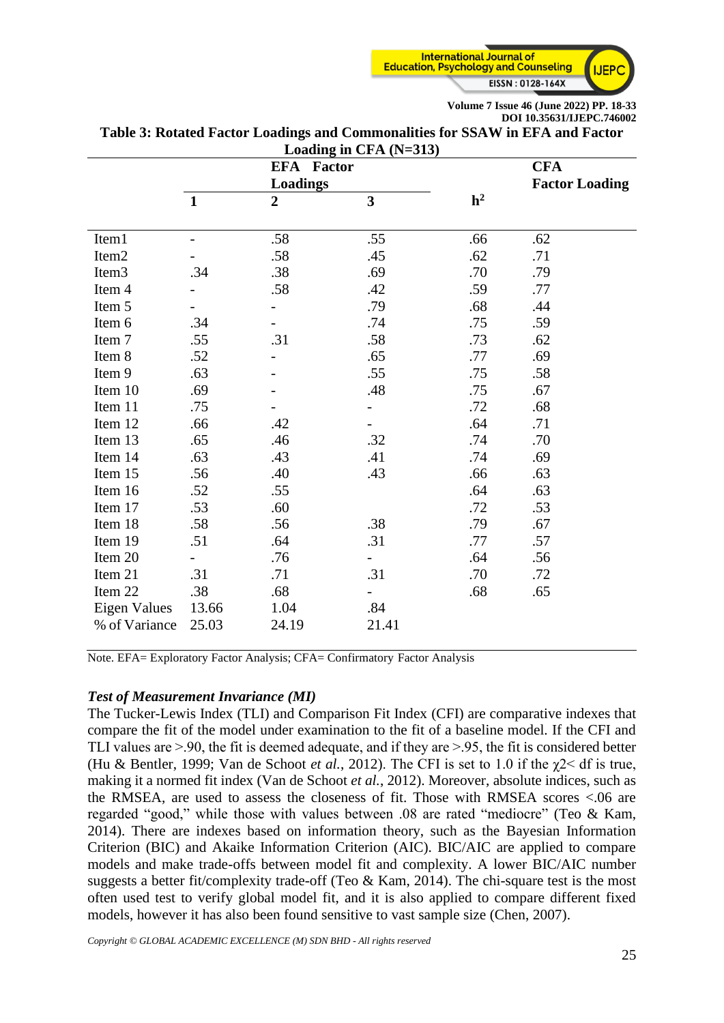

| Loading in CFA (N=313) |                          |                   |                         |                |                       |  |  |  |  |  |
|------------------------|--------------------------|-------------------|-------------------------|----------------|-----------------------|--|--|--|--|--|
|                        |                          | <b>EFA</b> Factor |                         |                | <b>CFA</b>            |  |  |  |  |  |
|                        |                          | Loadings          |                         |                | <b>Factor Loading</b> |  |  |  |  |  |
|                        | $\mathbf{1}$             | $\overline{2}$    | $\overline{\mathbf{3}}$ | h <sup>2</sup> |                       |  |  |  |  |  |
|                        |                          |                   |                         |                |                       |  |  |  |  |  |
| Item1                  | $\overline{\phantom{a}}$ | .58               | .55                     | .66            | .62                   |  |  |  |  |  |
| Item <sub>2</sub>      |                          | .58               | .45                     | .62            | .71                   |  |  |  |  |  |
| Item <sub>3</sub>      | .34                      | .38               | .69                     | .70            | .79                   |  |  |  |  |  |
| Item 4                 |                          | .58               | .42                     | .59            | .77                   |  |  |  |  |  |
| Item 5                 |                          |                   | .79                     | .68            | .44                   |  |  |  |  |  |
| Item 6                 | .34                      |                   | .74                     | .75            | .59                   |  |  |  |  |  |
| Item 7                 | .55                      | .31               | .58                     | .73            | .62                   |  |  |  |  |  |
| Item 8                 | .52                      |                   | .65                     | .77            | .69                   |  |  |  |  |  |
| Item 9                 | .63                      |                   | .55                     | .75            | .58                   |  |  |  |  |  |
| Item 10                | .69                      |                   | .48                     | .75            | .67                   |  |  |  |  |  |
| Item 11                | .75                      |                   |                         | .72            | .68                   |  |  |  |  |  |
| Item 12                | .66                      | .42               |                         | .64            | .71                   |  |  |  |  |  |
| Item 13                | .65                      | .46               | .32                     | .74            | .70                   |  |  |  |  |  |
| Item 14                | .63                      | .43               | .41                     | .74            | .69                   |  |  |  |  |  |
| Item 15                | .56                      | .40               | .43                     | .66            | .63                   |  |  |  |  |  |
| Item 16                | .52                      | .55               |                         | .64            | .63                   |  |  |  |  |  |
| Item 17                | .53                      | .60               |                         | .72            | .53                   |  |  |  |  |  |
| Item 18                | .58                      | .56               | .38                     | .79            | .67                   |  |  |  |  |  |
| Item 19                | .51                      | .64               | .31                     | .77            | .57                   |  |  |  |  |  |
| Item 20                |                          | .76               |                         | .64            | .56                   |  |  |  |  |  |
| Item 21                | .31                      | .71               | .31                     | .70            | .72                   |  |  |  |  |  |
| Item 22                | .38                      | .68               |                         | .68            | .65                   |  |  |  |  |  |
| <b>Eigen Values</b>    | 13.66                    | 1.04              | .84                     |                |                       |  |  |  |  |  |
| % of Variance          | 25.03                    | 24.19             | 21.41                   |                |                       |  |  |  |  |  |

**Table 3: Rotated Factor Loadings and Commonalities for SSAW in EFA and Factor** 

Note. EFA= Exploratory Factor Analysis; CFA= Confirmatory Factor Analysis

#### *Test of Measurement Invariance (MI)*

The Tucker-Lewis Index (TLI) and Comparison Fit Index (CFI) are comparative indexes that compare the fit of the model under examination to the fit of a baseline model. If the CFI and TLI values are  $> 90$ , the fit is deemed adequate, and if they are  $> 95$ , the fit is considered better (Hu & Bentler, 1999; Van de Schoot *et al.*, 2012). The CFI is set to 1.0 if the χ2˂ df is true, making it a normed fit index (Van de Schoot *et al.*, 2012). Moreover, absolute indices, such as the RMSEA, are used to assess the closeness of fit. Those with RMSEA scores <.06 are regarded "good," while those with values between .08 are rated "mediocre" (Teo & Kam, 2014). There are indexes based on information theory, such as the Bayesian Information Criterion (BIC) and Akaike Information Criterion (AIC). BIC/AIC are applied to compare models and make trade-offs between model fit and complexity. A lower BIC/AIC number suggests a better fit/complexity trade-off (Teo & Kam, 2014). The chi-square test is the most often used test to verify global model fit, and it is also applied to compare different fixed models, however it has also been found sensitive to vast sample size (Chen, 2007).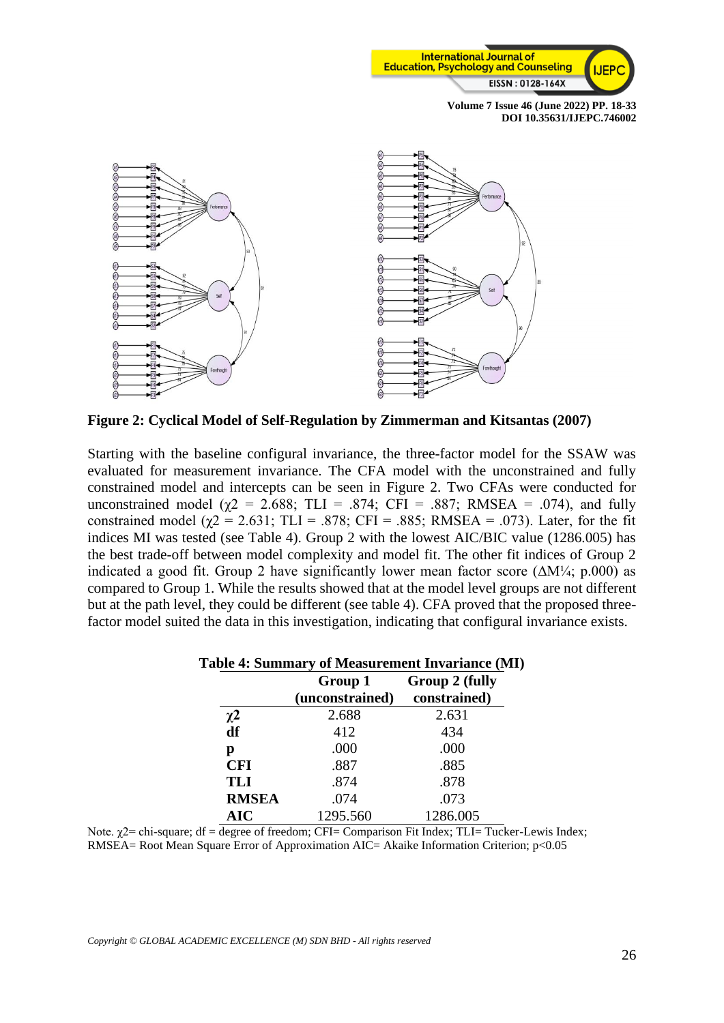



**Figure 2: Cyclical Model of Self-Regulation by Zimmerman and Kitsantas (2007)**

Starting with the baseline configural invariance, the three-factor model for the SSAW was evaluated for measurement invariance. The CFA model with the unconstrained and fully constrained model and intercepts can be seen in Figure 2. Two CFAs were conducted for unconstrained model ( $\chi$ 2 = 2.688; TLI = .874; CFI = .887; RMSEA = .074), and fully constrained model ( $\gamma$ 2 = 2.631; TLI = .878; CFI = .885; RMSEA = .073). Later, for the fit indices MI was tested (see Table 4). Group 2 with the lowest AIC/BIC value (1286.005) has the best trade-off between model complexity and model fit. The other fit indices of Group 2 indicated a good fit. Group 2 have significantly lower mean factor score ( $\Delta M/4$ ; p.000) as compared to Group 1. While the results showed that at the model level groups are not different but at the path level, they could be different (see table 4). CFA proved that the proposed threefactor model suited the data in this investigation, indicating that configural invariance exists.

| l abie 4: Summary of Measurement Invariance (Mi |                 |                |  |  |  |  |  |  |
|-------------------------------------------------|-----------------|----------------|--|--|--|--|--|--|
|                                                 | Group 1         | Group 2 (fully |  |  |  |  |  |  |
|                                                 | (unconstrained) | constrained)   |  |  |  |  |  |  |
| $\chi^2$                                        | 2.688           | 2.631          |  |  |  |  |  |  |
| df                                              | 412             | 434            |  |  |  |  |  |  |
| р                                               | .000            | .000           |  |  |  |  |  |  |
| <b>CFI</b>                                      | .887            | .885           |  |  |  |  |  |  |
| <b>TLI</b>                                      | .874            | .878           |  |  |  |  |  |  |
| <b>RMSEA</b>                                    | .074            | .073           |  |  |  |  |  |  |
| <b>AIC</b>                                      | 1295.560        | 1286.005       |  |  |  |  |  |  |

|  | Table 4: Summary of Measurement Invariance (MI) |  |  |  |  |
|--|-------------------------------------------------|--|--|--|--|
|  |                                                 |  |  |  |  |

Note.  $\gamma$ 2= chi-square; df = degree of freedom; CFI= Comparison Fit Index; TLI= Tucker-Lewis Index; RMSEA= Root Mean Square Error of Approximation AIC= Akaike Information Criterion; p<0.05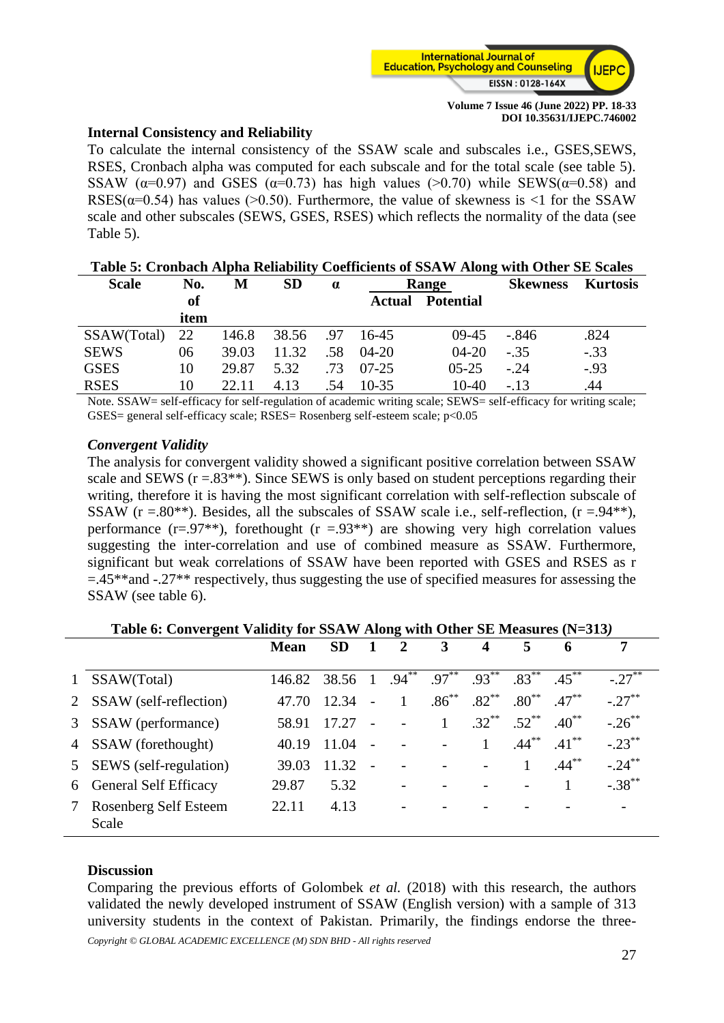

#### **Internal Consistency and Reliability**

To calculate the internal consistency of the SSAW scale and subscales i.e., GSES,SEWS, RSES, Cronbach alpha was computed for each subscale and for the total scale (see table 5). SSAW ( $\alpha$ =0.97) and GSES ( $\alpha$ =0.73) has high values (>0.70) while SEWS( $\alpha$ =0.58) and RSES( $\alpha$ =0.54) has values (>0.50). Furthermore, the value of skewness is <1 for the SSAW scale and other subscales (SEWS, GSES, RSES) which reflects the normality of the data (see Table 5).

| Table 5: Cronbach Alpha Reliability Coefficients of SSAW Along with Other SE Scales |      |       |           |          |           |                  |                 |                 |  |
|-------------------------------------------------------------------------------------|------|-------|-----------|----------|-----------|------------------|-----------------|-----------------|--|
| <b>Scale</b>                                                                        | No.  | М     | <b>SD</b> | $\alpha$ | Range     |                  | <b>Skewness</b> | <b>Kurtosis</b> |  |
|                                                                                     | of   |       |           |          | Actual    | <b>Potential</b> |                 |                 |  |
|                                                                                     | item |       |           |          |           |                  |                 |                 |  |
| SSAW(Total)                                                                         | 22   | 146.8 | 38.56     | .97      | 16-45     | $09-45$          | $-.846$         | .824            |  |
| <b>SEWS</b>                                                                         | 06   | 39.03 | 11.32     | .58      | $04 - 20$ | $04-20$          | $-.35$          | $-.33$          |  |
| <b>GSES</b>                                                                         | 10   | 29.87 | 5.32      | .73      | $07-25$   | $0.5 - 2.5$      | $-.24$          | $-.93$          |  |
| <b>RSES</b>                                                                         | 10   | 22.11 | 4.13      | .54      | $10-35$   | $10-40$          | $-.13$          | .44             |  |

Note. SSAW= self-efficacy for self-regulation of academic writing scale; SEWS= self-efficacy for writing scale; GSES= general self-efficacy scale; RSES= Rosenberg self-esteem scale; p<0.05

#### *Convergent Validity*

The analysis for convergent validity showed a significant positive correlation between SSAW scale and SEWS  $(r = .83^{**})$ . Since SEWS is only based on student perceptions regarding their writing, therefore it is having the most significant correlation with self-reflection subscale of SSAW ( $r = .80^{**}$ ). Besides, all the subscales of SSAW scale i.e., self-reflection, ( $r = .94^{**}$ ), performance  $(r=.97**)$ , forethought  $(r=.93**)$  are showing very high correlation values suggesting the inter-correlation and use of combined measure as SSAW. Furthermore, significant but weak correlations of SSAW have been reported with GSES and RSES as r  $=$ .45\*\*and -.27\*\* respectively, thus suggesting the use of specified measures for assessing the SSAW (see table 6).

|              | Table 6: Convergent Validity for SSAW Along with Other SE Measures (N=313) |             |                                                              |                |                          |              |              |                  |            |           |  |
|--------------|----------------------------------------------------------------------------|-------------|--------------------------------------------------------------|----------------|--------------------------|--------------|--------------|------------------|------------|-----------|--|
|              |                                                                            | <b>Mean</b> | <b>SD</b>                                                    | 1              | 2                        | 3            | 4            | 5                | 6          | 7         |  |
| $\mathbf{1}$ | SSAW(Total)                                                                | 146.82      | $38.56 \quad 1 \quad .94^{**} \quad .97^{**} \quad .93^{**}$ |                |                          |              |              | $.83***$         | $.45***$   | $-.27***$ |  |
| 2            | SSAW (self-reflection)                                                     | 47.70       | 12.34                                                        | $\sim$         |                          | $.86^{**}$   | $.82^{**}$   | $.80^{\ast\ast}$ | $.47***$   | $-.27***$ |  |
| $\mathbf{3}$ | SSAW (performance)                                                         | 58.91       | 17.27                                                        | $\overline{a}$ | $\overline{a}$           | $\mathbf{1}$ | $.32***$     | $.52***$         | $.40^{**}$ | $-.26***$ |  |
|              | 4 SSAW (forethought)                                                       | 40.19       | 11.04                                                        | $\sim$         |                          |              | $\mathbf{1}$ | $.44***$         | $.41***$   | $-.23***$ |  |
| 5            | SEWS (self-regulation)                                                     | 39.03       | $11.32 -$                                                    |                |                          |              |              |                  | $.44***$   | $-.24***$ |  |
|              | 6 General Self Efficacy                                                    | 29.87       | 5.32                                                         |                | $\overline{\phantom{a}}$ |              |              |                  |            | $-.38***$ |  |
|              | Rosenberg Self Esteem<br>Scale                                             | 22.11       | 4.13                                                         |                | $\overline{\phantom{a}}$ |              |              |                  |            |           |  |

#### **Table 6: Convergent Validity for SSAW Along with Other SE Measures (N=313***)*

#### **Discussion**

Comparing the previous efforts of Golombek *et al.* (2018) with this research, the authors validated the newly developed instrument of SSAW (English version) with a sample of 313 university students in the context of Pakistan. Primarily, the findings endorse the three-

*Copyright © GLOBAL ACADEMIC EXCELLENCE (M) SDN BHD - All rights reserved*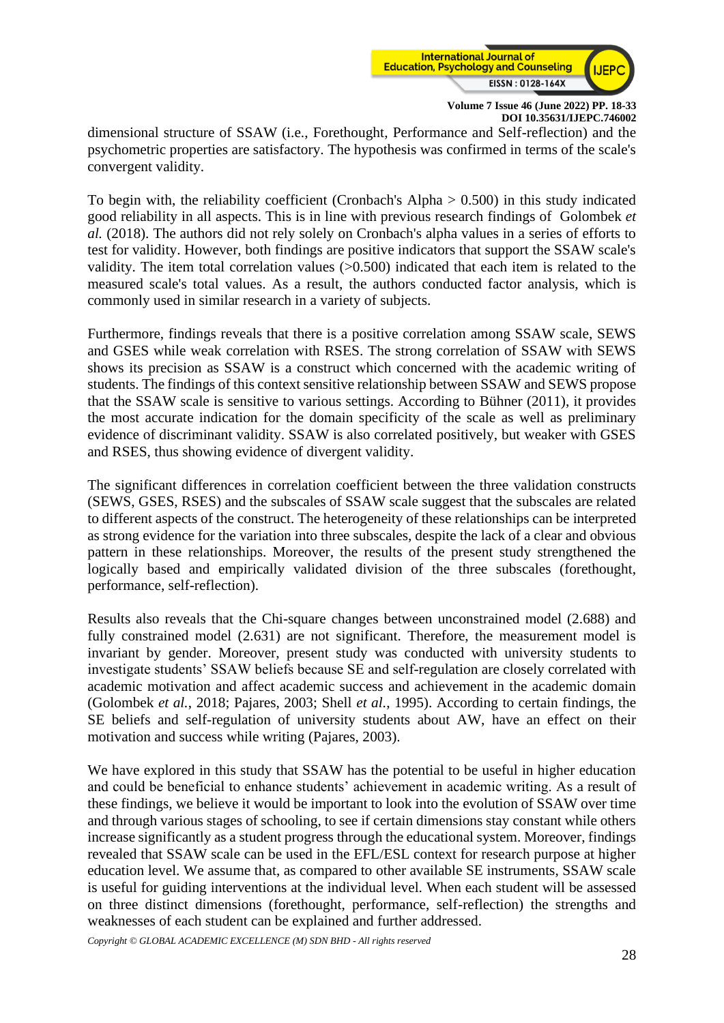

dimensional structure of SSAW (i.e., Forethought, Performance and Self-reflection) and the psychometric properties are satisfactory. The hypothesis was confirmed in terms of the scale's convergent validity.

To begin with, the reliability coefficient (Cronbach's Alpha  $> 0.500$ ) in this study indicated good reliability in all aspects. This is in line with previous research findings of Golombek *et al.* (2018). The authors did not rely solely on Cronbach's alpha values in a series of efforts to test for validity. However, both findings are positive indicators that support the SSAW scale's validity. The item total correlation values (>0.500) indicated that each item is related to the measured scale's total values. As a result, the authors conducted factor analysis, which is commonly used in similar research in a variety of subjects.

Furthermore, findings reveals that there is a positive correlation among SSAW scale, SEWS and GSES while weak correlation with RSES. The strong correlation of SSAW with SEWS shows its precision as SSAW is a construct which concerned with the academic writing of students. The findings of this context sensitive relationship between SSAW and SEWS propose that the SSAW scale is sensitive to various settings. According to Bühner (2011), it provides the most accurate indication for the domain specificity of the scale as well as preliminary evidence of discriminant validity. SSAW is also correlated positively, but weaker with GSES and RSES, thus showing evidence of divergent validity.

The significant differences in correlation coefficient between the three validation constructs (SEWS, GSES, RSES) and the subscales of SSAW scale suggest that the subscales are related to different aspects of the construct. The heterogeneity of these relationships can be interpreted as strong evidence for the variation into three subscales, despite the lack of a clear and obvious pattern in these relationships. Moreover, the results of the present study strengthened the logically based and empirically validated division of the three subscales (forethought, performance, self-reflection).

Results also reveals that the Chi-square changes between unconstrained model (2.688) and fully constrained model (2.631) are not significant. Therefore, the measurement model is invariant by gender. Moreover, present study was conducted with university students to investigate students' SSAW beliefs because SE and self-regulation are closely correlated with academic motivation and affect academic success and achievement in the academic domain (Golombek *et al.*, 2018; Pajares, 2003; Shell *et al.*, 1995). According to certain findings, the SE beliefs and self-regulation of university students about AW, have an effect on their motivation and success while writing (Pajares, 2003).

We have explored in this study that SSAW has the potential to be useful in higher education and could be beneficial to enhance students' achievement in academic writing. As a result of these findings, we believe it would be important to look into the evolution of SSAW over time and through various stages of schooling, to see if certain dimensions stay constant while others increase significantly as a student progress through the educational system. Moreover, findings revealed that SSAW scale can be used in the EFL/ESL context for research purpose at higher education level. We assume that, as compared to other available SE instruments, SSAW scale is useful for guiding interventions at the individual level. When each student will be assessed on three distinct dimensions (forethought, performance, self-reflection) the strengths and weaknesses of each student can be explained and further addressed.

*Copyright © GLOBAL ACADEMIC EXCELLENCE (M) SDN BHD - All rights reserved*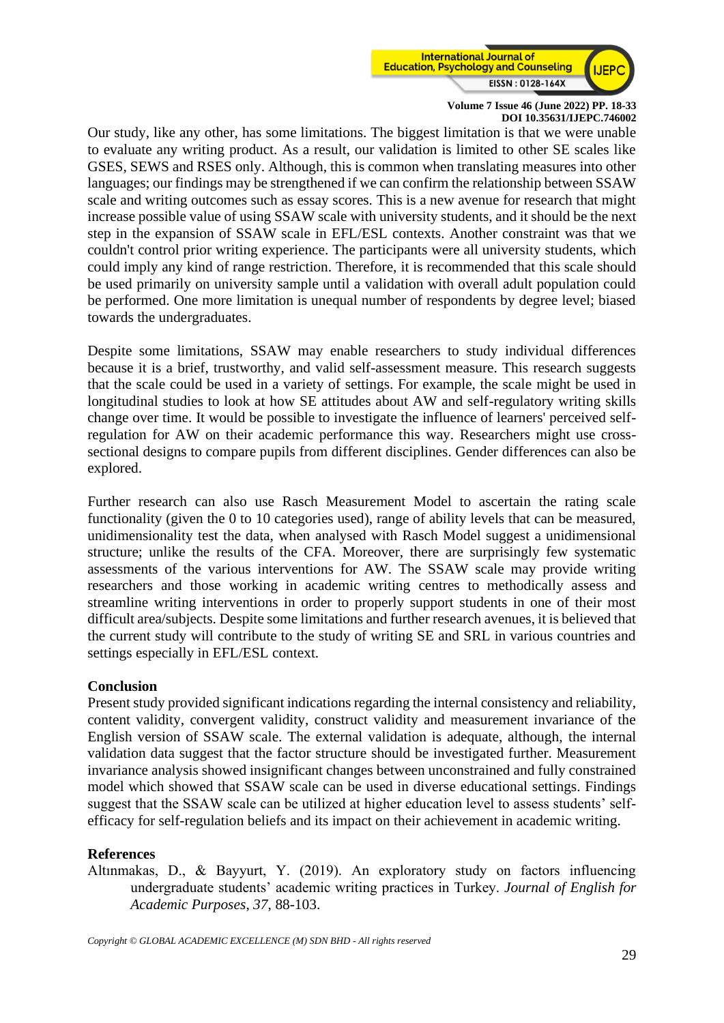

Our study, like any other, has some limitations. The biggest limitation is that we were unable to evaluate any writing product. As a result, our validation is limited to other SE scales like GSES, SEWS and RSES only. Although, this is common when translating measures into other languages; our findings may be strengthened if we can confirm the relationship between SSAW scale and writing outcomes such as essay scores. This is a new avenue for research that might increase possible value of using SSAW scale with university students, and it should be the next step in the expansion of SSAW scale in EFL/ESL contexts. Another constraint was that we couldn't control prior writing experience. The participants were all university students, which could imply any kind of range restriction. Therefore, it is recommended that this scale should be used primarily on university sample until a validation with overall adult population could be performed. One more limitation is unequal number of respondents by degree level; biased towards the undergraduates.

Despite some limitations, SSAW may enable researchers to study individual differences because it is a brief, trustworthy, and valid self-assessment measure. This research suggests that the scale could be used in a variety of settings. For example, the scale might be used in longitudinal studies to look at how SE attitudes about AW and self-regulatory writing skills change over time. It would be possible to investigate the influence of learners' perceived selfregulation for AW on their academic performance this way. Researchers might use crosssectional designs to compare pupils from different disciplines. Gender differences can also be explored.

Further research can also use Rasch Measurement Model to ascertain the rating scale functionality (given the 0 to 10 categories used), range of ability levels that can be measured, unidimensionality test the data, when analysed with Rasch Model suggest a unidimensional structure; unlike the results of the CFA. Moreover, there are surprisingly few systematic assessments of the various interventions for AW. The SSAW scale may provide writing researchers and those working in academic writing centres to methodically assess and streamline writing interventions in order to properly support students in one of their most difficult area/subjects. Despite some limitations and further research avenues, it is believed that the current study will contribute to the study of writing SE and SRL in various countries and settings especially in EFL/ESL context.

#### **Conclusion**

Present study provided significant indications regarding the internal consistency and reliability, content validity, convergent validity, construct validity and measurement invariance of the English version of SSAW scale. The external validation is adequate, although, the internal validation data suggest that the factor structure should be investigated further. Measurement invariance analysis showed insignificant changes between unconstrained and fully constrained model which showed that SSAW scale can be used in diverse educational settings. Findings suggest that the SSAW scale can be utilized at higher education level to assess students' selfefficacy for self-regulation beliefs and its impact on their achievement in academic writing.

#### **References**

Altınmakas, D., & Bayyurt, Y. (2019). An exploratory study on factors influencing undergraduate students' academic writing practices in Turkey. *Journal of English for Academic Purposes*, *37*, 88-103.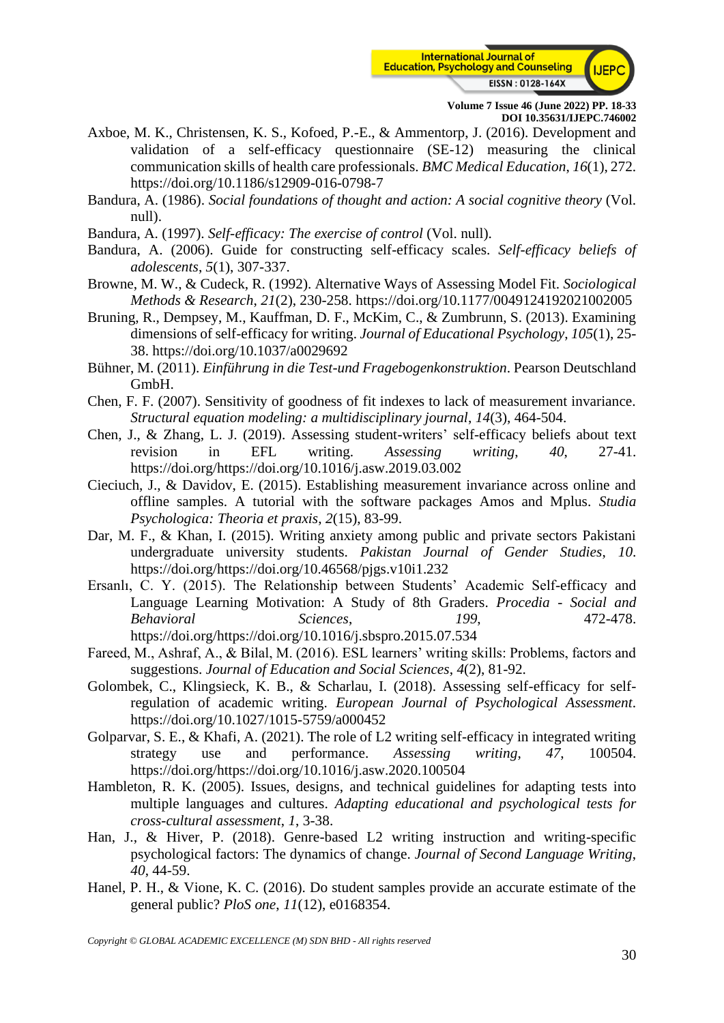

- Axboe, M. K., Christensen, K. S., Kofoed, P.-E., & Ammentorp, J. (2016). Development and validation of a self-efficacy questionnaire (SE-12) measuring the clinical communication skills of health care professionals. *BMC Medical Education*, *16*(1), 272. <https://doi.org/10.1186/s12909-016-0798-7>
- Bandura, A. (1986). *Social foundations of thought and action: A social cognitive theory* (Vol. null).
- Bandura, A. (1997). *Self-efficacy: The exercise of control* (Vol. null).
- Bandura, A. (2006). Guide for constructing self-efficacy scales. *Self-efficacy beliefs of adolescents*, *5*(1), 307-337.
- Browne, M. W., & Cudeck, R. (1992). Alternative Ways of Assessing Model Fit. *Sociological Methods & Research*, *21*(2), 230-258.<https://doi.org/10.1177/0049124192021002005>
- Bruning, R., Dempsey, M., Kauffman, D. F., McKim, C., & Zumbrunn, S. (2013). Examining dimensions of self-efficacy for writing. *Journal of Educational Psychology*, *105*(1), 25- 38.<https://doi.org/10.1037/a0029692>
- Bühner, M. (2011). *Einführung in die Test-und Fragebogenkonstruktion*. Pearson Deutschland GmbH.
- Chen, F. F. (2007). Sensitivity of goodness of fit indexes to lack of measurement invariance. *Structural equation modeling: a multidisciplinary journal*, *14*(3), 464-504.
- Chen, J., & Zhang, L. J. (2019). Assessing student-writers' self-efficacy beliefs about text revision in EFL writing. *Assessing writing*, *40*, 27-41. [https://doi.org/https://doi.org/10.1016/j.asw.2019.03.002](https://doi.org/https:/doi.org/10.1016/j.asw.2019.03.002)
- Cieciuch, J., & Davidov, E. (2015). Establishing measurement invariance across online and offline samples. A tutorial with the software packages Amos and Mplus. *Studia Psychologica: Theoria et praxis*, *2*(15), 83-99.
- Dar, M. F., & Khan, I. (2015). Writing anxiety among public and private sectors Pakistani undergraduate university students. *Pakistan Journal of Gender Studies*, *10*. [https://doi.org/https://doi.org/10.46568/pjgs.v10i1.232](https://doi.org/https:/doi.org/10.46568/pjgs.v10i1.232)
- Ersanlı, C. Y. (2015). The Relationship between Students' Academic Self-efficacy and Language Learning Motivation: A Study of 8th Graders. *Procedia - Social and Behavioral Sciences*, *199*, 472-478. [https://doi.org/https://doi.org/10.1016/j.sbspro.2015.07.534](https://doi.org/https:/doi.org/10.1016/j.sbspro.2015.07.534)
- Fareed, M., Ashraf, A., & Bilal, M. (2016). ESL learners' writing skills: Problems, factors and suggestions. *Journal of Education and Social Sciences*, *4*(2), 81-92.
- Golombek, C., Klingsieck, K. B., & Scharlau, I. (2018). Assessing self-efficacy for selfregulation of academic writing. *European Journal of Psychological Assessment*. <https://doi.org/10.1027/1015-5759/a000452>
- Golparvar, S. E., & Khafi, A. (2021). The role of L2 writing self-efficacy in integrated writing strategy use and performance. *Assessing writing*, *47*, 100504. [https://doi.org/https://doi.org/10.1016/j.asw.2020.100504](https://doi.org/https:/doi.org/10.1016/j.asw.2020.100504)
- Hambleton, R. K. (2005). Issues, designs, and technical guidelines for adapting tests into multiple languages and cultures. *Adapting educational and psychological tests for cross-cultural assessment*, *1*, 3-38.
- Han, J., & Hiver, P. (2018). Genre-based L2 writing instruction and writing-specific psychological factors: The dynamics of change. *Journal of Second Language Writing*, *40*, 44-59.
- Hanel, P. H., & Vione, K. C. (2016). Do student samples provide an accurate estimate of the general public? *PloS one*, *11*(12), e0168354.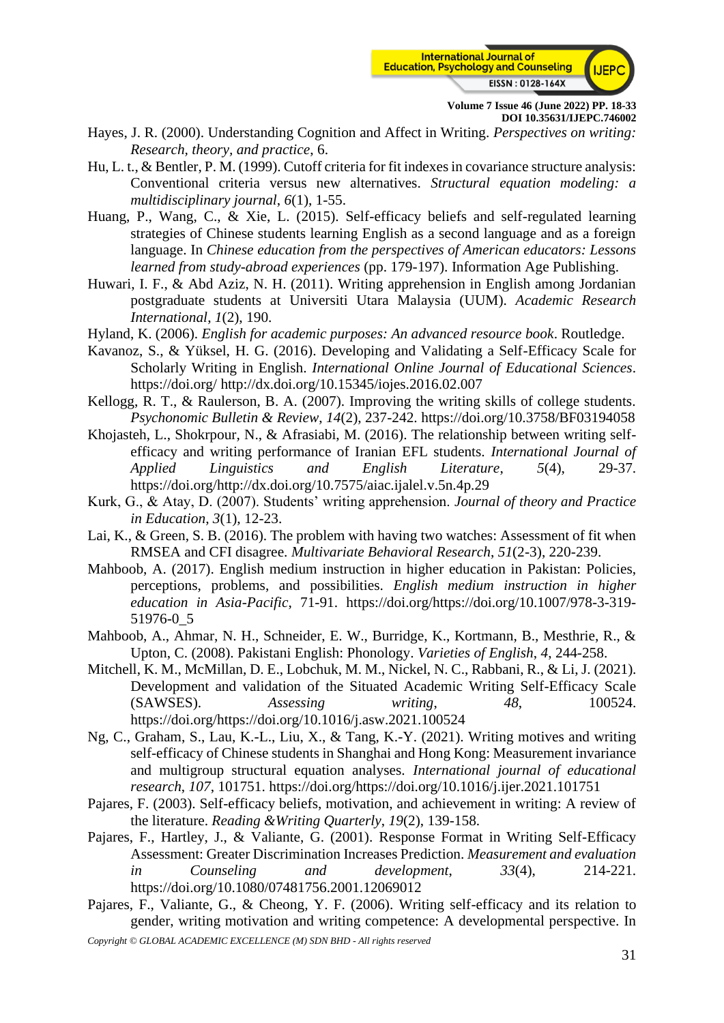

- Hayes, J. R. (2000). Understanding Cognition and Affect in Writing. *Perspectives on writing: Research, theory, and practice*, 6.
- Hu, L. t., & Bentler, P. M. (1999). Cutoff criteria for fit indexes in covariance structure analysis: Conventional criteria versus new alternatives. *Structural equation modeling: a multidisciplinary journal*, *6*(1), 1-55.
- Huang, P., Wang, C., & Xie, L. (2015). Self-efficacy beliefs and self-regulated learning strategies of Chinese students learning English as a second language and as a foreign language. In *Chinese education from the perspectives of American educators: Lessons learned from study-abroad experiences* (pp. 179-197). Information Age Publishing.
- Huwari, I. F., & Abd Aziz, N. H. (2011). Writing apprehension in English among Jordanian postgraduate students at Universiti Utara Malaysia (UUM). *Academic Research International*, *1*(2), 190.
- Hyland, K. (2006). *English for academic purposes: An advanced resource book*. Routledge.
- Kavanoz, S., & Yüksel, H. G. (2016). Developing and Validating a Self-Efficacy Scale for Scholarly Writing in English. *International Online Journal of Educational Sciences*. <https://doi.org/> <http://dx.doi.org/10.15345/iojes.2016.02.007>
- Kellogg, R. T., & Raulerson, B. A. (2007). Improving the writing skills of college students. *Psychonomic Bulletin & Review*, *14*(2), 237-242.<https://doi.org/10.3758/BF03194058>
- Khojasteh, L., Shokrpour, N., & Afrasiabi, M. (2016). The relationship between writing selfefficacy and writing performance of Iranian EFL students. *International Journal of Applied Linguistics and English Literature*, *5*(4), 29-37. [https://doi.org/http://dx.doi.org/10.7575/aiac.ijalel.v.5n.4p.29](https://doi.org/http:/dx.doi.org/10.7575/aiac.ijalel.v.5n.4p.29)
- Kurk, G., & Atay, D. (2007). Students' writing apprehension. *Journal of theory and Practice in Education*, *3*(1), 12-23.
- Lai, K., & Green, S. B. (2016). The problem with having two watches: Assessment of fit when RMSEA and CFI disagree. *Multivariate Behavioral Research*, *51*(2-3), 220-239.
- Mahboob, A. (2017). English medium instruction in higher education in Pakistan: Policies, perceptions, problems, and possibilities. *English medium instruction in higher education in Asia-Pacific*, 71-91. [https://doi.org/https://doi.org/10.1007/978-3-319-](https://doi.org/https:/doi.org/10.1007/978-3-319-51976-0_5) [51976-0\\_5](https://doi.org/https:/doi.org/10.1007/978-3-319-51976-0_5)
- Mahboob, A., Ahmar, N. H., Schneider, E. W., Burridge, K., Kortmann, B., Mesthrie, R., & Upton, C. (2008). Pakistani English: Phonology. *Varieties of English*, *4*, 244-258.
- Mitchell, K. M., McMillan, D. E., Lobchuk, M. M., Nickel, N. C., Rabbani, R., & Li, J. (2021). Development and validation of the Situated Academic Writing Self-Efficacy Scale (SAWSES). *Assessing writing*, *48*, 100524. [https://doi.org/https://doi.org/10.1016/j.asw.2021.100524](https://doi.org/https:/doi.org/10.1016/j.asw.2021.100524)
- Ng, C., Graham, S., Lau, K.-L., Liu, X., & Tang, K.-Y. (2021). Writing motives and writing self-efficacy of Chinese students in Shanghai and Hong Kong: Measurement invariance and multigroup structural equation analyses. *International journal of educational research*, *107*, 101751. [https://doi.org/https://doi.org/10.1016/j.ijer.2021.101751](https://doi.org/https:/doi.org/10.1016/j.ijer.2021.101751)
- Pajares, F. (2003). Self-efficacy beliefs, motivation, and achievement in writing: A review of the literature. *Reading &Writing Quarterly*, *19*(2), 139-158.
- Pajares, F., Hartley, J., & Valiante, G. (2001). Response Format in Writing Self-Efficacy Assessment: Greater Discrimination Increases Prediction. *Measurement and evaluation in Counseling and development*, *33*(4), 214-221. <https://doi.org/10.1080/07481756.2001.12069012>
- Pajares, F., Valiante, G., & Cheong, Y. F. (2006). Writing self-efficacy and its relation to gender, writing motivation and writing competence: A developmental perspective. In
- *Copyright © GLOBAL ACADEMIC EXCELLENCE (M) SDN BHD - All rights reserved*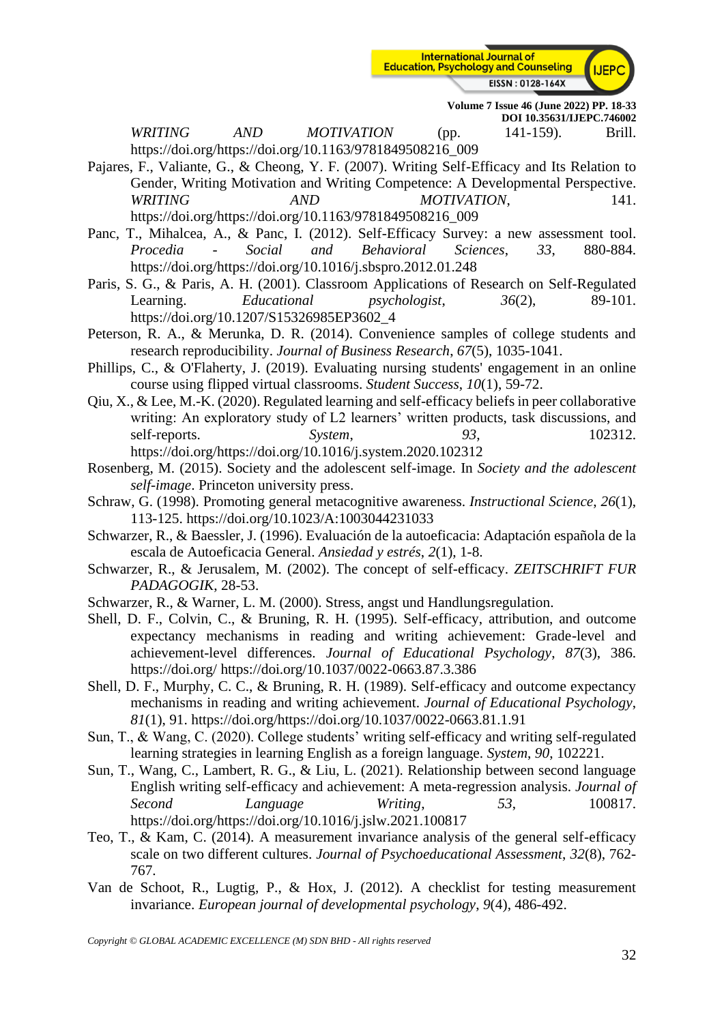

*WRITING AND MOTIVATION* (pp. 141-159). Brill. [https://doi.org/https://doi.org/10.1163/9781849508216\\_009](https://doi.org/https:/doi.org/10.1163/9781849508216_009)

- Pajares, F., Valiante, G., & Cheong, Y. F. (2007). Writing Self-Efficacy and Its Relation to Gender, Writing Motivation and Writing Competence: A Developmental Perspective. *WRITING*  $AND$  *AND MOTIVATION*, 141. [https://doi.org/https://doi.org/10.1163/9781849508216\\_009](https://doi.org/https:/doi.org/10.1163/9781849508216_009)
- Panc, T., Mihalcea, A., & Panc, I. (2012). Self-Efficacy Survey: a new assessment tool. *Procedia - Social and Behavioral Sciences*, *33*, 880-884. [https://doi.org/https://doi.org/10.1016/j.sbspro.2012.01.248](https://doi.org/https:/doi.org/10.1016/j.sbspro.2012.01.248)
- Paris, S. G., & Paris, A. H. (2001). Classroom Applications of Research on Self-Regulated Learning. *Educational psychologist*,  $36(2)$ , 89-101. [https://doi.org/10.1207/S15326985EP3602\\_4](https://doi.org/10.1207/S15326985EP3602_4)
- Peterson, R. A., & Merunka, D. R. (2014). Convenience samples of college students and research reproducibility. *Journal of Business Research*, *67*(5), 1035-1041.
- Phillips, C., & O'Flaherty, J. (2019). Evaluating nursing students' engagement in an online course using flipped virtual classrooms. *Student Success*, *10*(1), 59-72.
- Qiu, X., & Lee, M.-K. (2020). Regulated learning and self-efficacy beliefs in peer collaborative writing: An exploratory study of L2 learners' written products, task discussions, and self-reports. *System*, *93*, 102312. [https://doi.org/https://doi.org/10.1016/j.system.2020.102312](https://doi.org/https:/doi.org/10.1016/j.system.2020.102312)
- Rosenberg, M. (2015). Society and the adolescent self-image. In *Society and the adolescent self-image*. Princeton university press.
- Schraw, G. (1998). Promoting general metacognitive awareness. *Instructional Science*, *26*(1), 113-125.<https://doi.org/10.1023/A:1003044231033>
- Schwarzer, R., & Baessler, J. (1996). Evaluación de la autoeficacia: Adaptación española de la escala de Autoeficacia General. *Ansiedad y estrés*, *2*(1), 1-8.
- Schwarzer, R., & Jerusalem, M. (2002). The concept of self-efficacy. *ZEITSCHRIFT FUR PADAGOGIK*, 28-53.
- Schwarzer, R., & Warner, L. M. (2000). Stress, angst und Handlungsregulation.
- Shell, D. F., Colvin, C., & Bruning, R. H. (1995). Self-efficacy, attribution, and outcome expectancy mechanisms in reading and writing achievement: Grade-level and achievement-level differences. *Journal of Educational Psychology*, *87*(3), 386. <https://doi.org/> <https://doi.org/10.1037/0022-0663.87.3.386>
- Shell, D. F., Murphy, C. C., & Bruning, R. H. (1989). Self-efficacy and outcome expectancy mechanisms in reading and writing achievement. *Journal of Educational Psychology*, *81*(1), 91. [https://doi.org/https://doi.org/10.1037/0022-0663.81.1.91](https://doi.org/https:/doi.org/10.1037/0022-0663.81.1.91)
- Sun, T., & Wang, C. (2020). College students' writing self-efficacy and writing self-regulated learning strategies in learning English as a foreign language. *System*, *90*, 102221.
- Sun, T., Wang, C., Lambert, R. G., & Liu, L. (2021). Relationship between second language English writing self-efficacy and achievement: A meta-regression analysis. *Journal of Second Language Writing*, *53*, 100817. [https://doi.org/https://doi.org/10.1016/j.jslw.2021.100817](https://doi.org/https:/doi.org/10.1016/j.jslw.2021.100817)
- Teo, T., & Kam, C. (2014). A measurement invariance analysis of the general self-efficacy scale on two different cultures. *Journal of Psychoeducational Assessment*, *32*(8), 762- 767.
- Van de Schoot, R., Lugtig, P., & Hox, J. (2012). A checklist for testing measurement invariance. *European journal of developmental psychology*, *9*(4), 486-492.